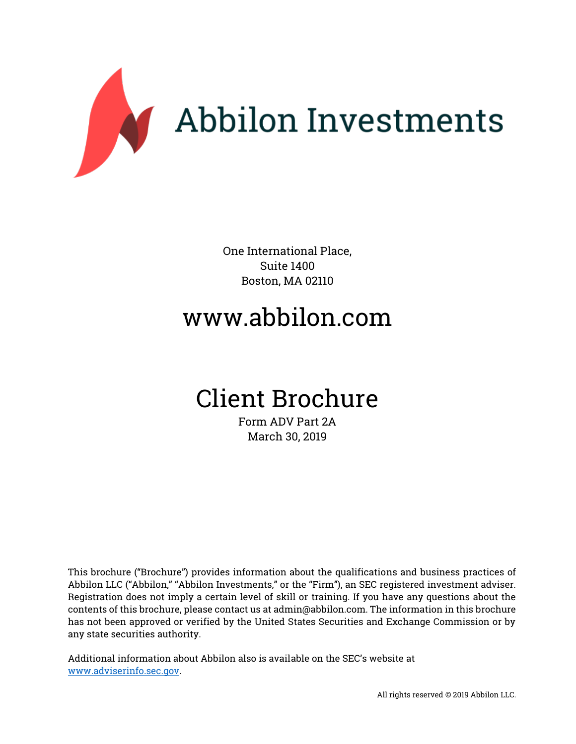

One International Place, Suite 1400 Boston, MA 02110

# www.abbilon.com

# Client Brochure

Form ADV Part 2A March 30, 2019

This brochure ("Brochure") provides information about the qualifications and business practices of Abbilon LLC ("Abbilon," "Abbilon Investments," or the "Firm"), an SEC registered investment adviser. Registration does not imply a certain level of skill or training. If you have any questions about the contents of this brochure, please contact us at admin@abbilon.com. The information in this brochure has not been approved or verified by the United States Securities and Exchange Commission or by any state securities authority.

Additional information about Abbilon also is available on the SEC's website at [www.adviserinfo.sec.gov.](http://www.adviserinfo.sec.gov/)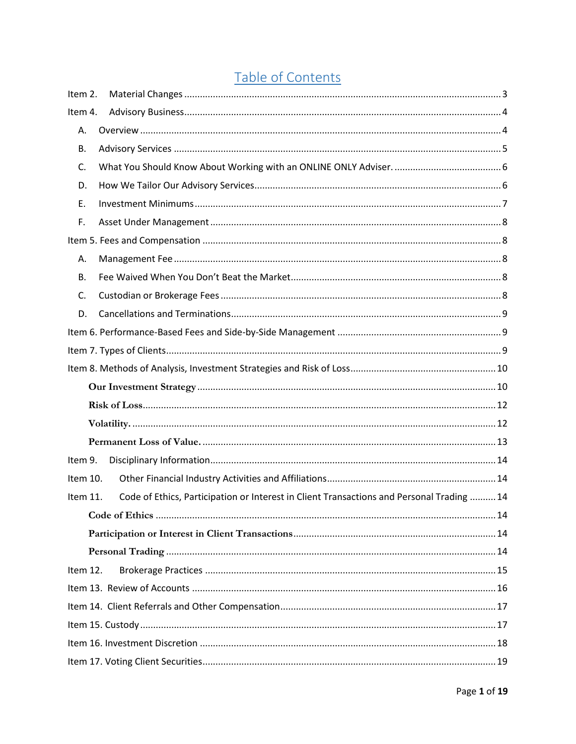# Table of Contents

| Item 2.  |                                                                                           |  |
|----------|-------------------------------------------------------------------------------------------|--|
| Item 4.  |                                                                                           |  |
| Α.       |                                                                                           |  |
| В.       |                                                                                           |  |
| C.       |                                                                                           |  |
| D.       |                                                                                           |  |
| E.       |                                                                                           |  |
| F.       |                                                                                           |  |
|          |                                                                                           |  |
| Α.       |                                                                                           |  |
| В.       |                                                                                           |  |
| C.       |                                                                                           |  |
| D.       |                                                                                           |  |
|          |                                                                                           |  |
|          |                                                                                           |  |
|          |                                                                                           |  |
|          |                                                                                           |  |
|          |                                                                                           |  |
|          |                                                                                           |  |
|          |                                                                                           |  |
| Item 9.  |                                                                                           |  |
| Item 10. |                                                                                           |  |
| Item 11. | Code of Ethics, Participation or Interest in Client Transactions and Personal Trading  14 |  |
|          |                                                                                           |  |
|          |                                                                                           |  |
|          |                                                                                           |  |
| Item 12. |                                                                                           |  |
|          |                                                                                           |  |
|          |                                                                                           |  |
|          |                                                                                           |  |
|          |                                                                                           |  |
|          |                                                                                           |  |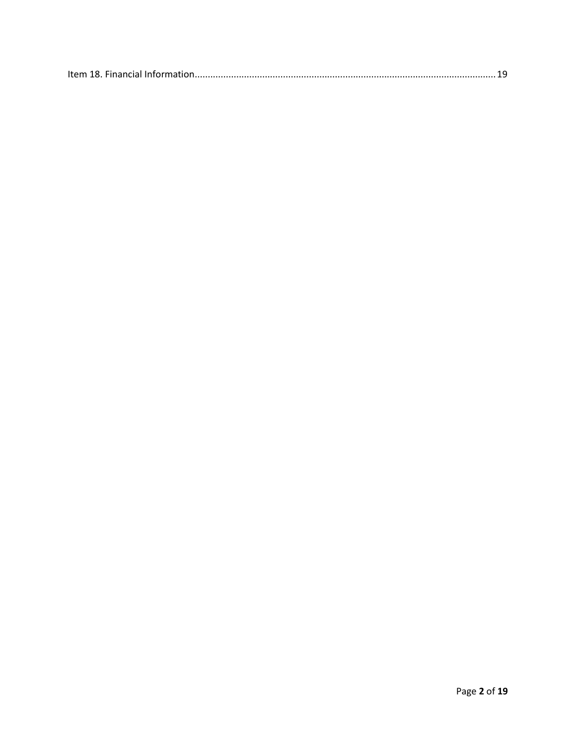|--|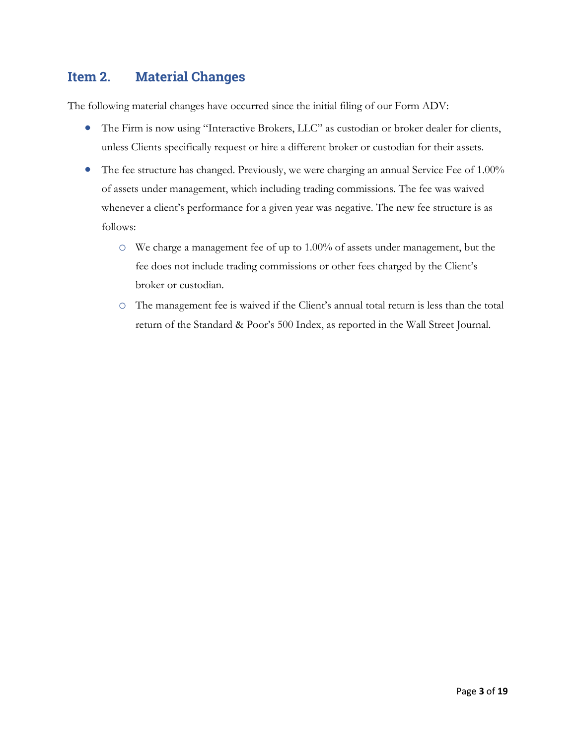# <span id="page-3-0"></span>**Item 2. Material Changes**

The following material changes have occurred since the initial filing of our Form ADV:

- The Firm is now using "Interactive Brokers, LLC" as custodian or broker dealer for clients, unless Clients specifically request or hire a different broker or custodian for their assets.
- The fee structure has changed. Previously, we were charging an annual Service Fee of 1.00% of assets under management, which including trading commissions. The fee was waived whenever a client's performance for a given year was negative. The new fee structure is as follows:
	- o We charge a management fee of up to 1.00% of assets under management, but the fee does not include trading commissions or other fees charged by the Client's broker or custodian.
	- o The management fee is waived if the Client's annual total return is less than the total return of the Standard & Poor's 500 Index, as reported in the Wall Street Journal.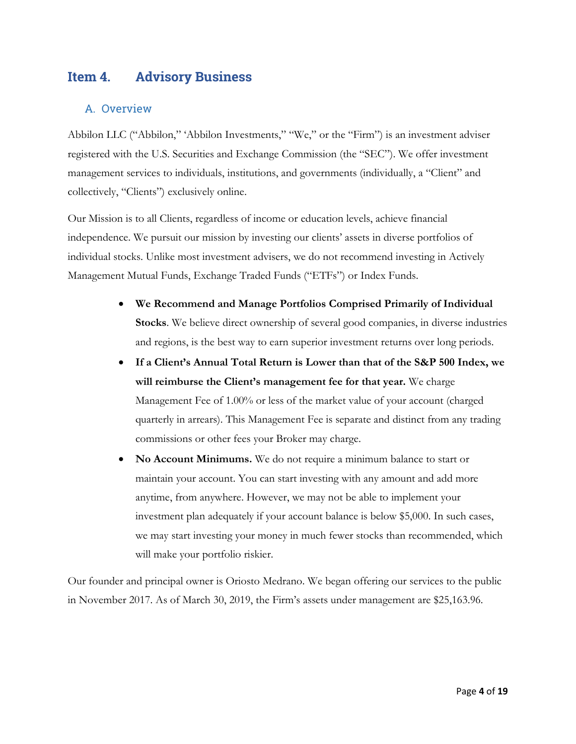## <span id="page-4-0"></span>**Item 4. Advisory Business**

### <span id="page-4-1"></span>A. Overview

Abbilon LLC ("Abbilon," 'Abbilon Investments," "We," or the "Firm") is an investment adviser registered with the U.S. Securities and Exchange Commission (the "SEC"). We offer investment management services to individuals, institutions, and governments (individually, a "Client" and collectively, "Clients") exclusively online.

Our Mission is to all Clients, regardless of income or education levels, achieve financial independence. We pursuit our mission by investing our clients' assets in diverse portfolios of individual stocks. Unlike most investment advisers, we do not recommend investing in Actively Management Mutual Funds, Exchange Traded Funds ("ETFs") or Index Funds.

- **We Recommend and Manage Portfolios Comprised Primarily of Individual Stocks**. We believe direct ownership of several good companies, in diverse industries and regions, is the best way to earn superior investment returns over long periods.
- **If a Client's Annual Total Return is Lower than that of the S&P 500 Index, we will reimburse the Client's management fee for that year.** We charge Management Fee of 1.00% or less of the market value of your account (charged quarterly in arrears). This Management Fee is separate and distinct from any trading commissions or other fees your Broker may charge.
- **No Account Minimums.** We do not require a minimum balance to start or maintain your account. You can start investing with any amount and add more anytime, from anywhere. However, we may not be able to implement your investment plan adequately if your account balance is below \$5,000. In such cases, we may start investing your money in much fewer stocks than recommended, which will make your portfolio riskier.

Our founder and principal owner is Oriosto Medrano. We began offering our services to the public in November 2017. As of March 30, 2019, the Firm's assets under management are \$25,163.96.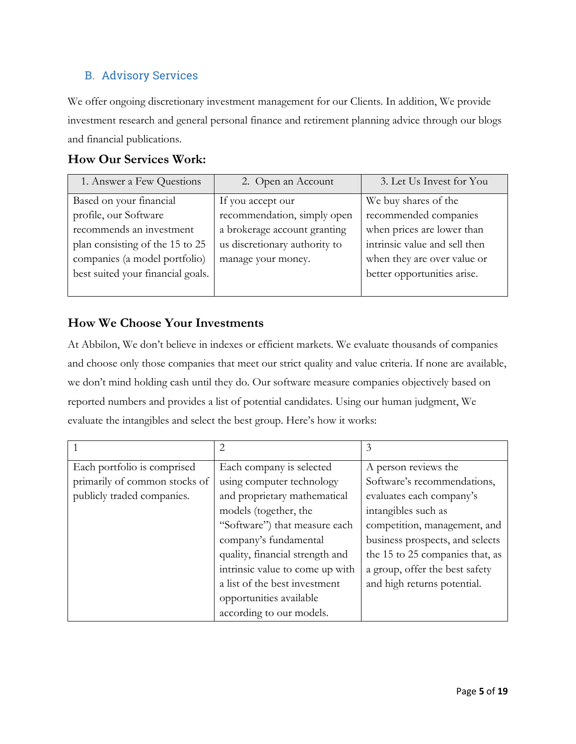## <span id="page-5-0"></span>B. Advisory Services

We offer ongoing discretionary investment management for our Clients. In addition, We provide investment research and general personal finance and retirement planning advice through our blogs and financial publications.

## **How Our Services Work:**

| 1. Answer a Few Questions         | 2. Open an Account            | 3. Let Us Invest for You      |
|-----------------------------------|-------------------------------|-------------------------------|
| Based on your financial           | If you accept our             | We buy shares of the          |
| profile, our Software             | recommendation, simply open   | recommended companies         |
| recommends an investment          | a brokerage account granting  | when prices are lower than    |
| plan consisting of the 15 to 25   | us discretionary authority to | intrinsic value and sell then |
| companies (a model portfolio)     | manage your money.            | when they are over value or   |
| best suited your financial goals. |                               | better opportunities arise.   |
|                                   |                               |                               |

## **How We Choose Your Investments**

At Abbilon, We don't believe in indexes or efficient markets. We evaluate thousands of companies and choose only those companies that meet our strict quality and value criteria. If none are available, we don't mind holding cash until they do. Our software measure companies objectively based on reported numbers and provides a list of potential candidates. Using our human judgment, We evaluate the intangibles and select the best group. Here's how it works:

|                               | 2                               | 3                               |
|-------------------------------|---------------------------------|---------------------------------|
| Each portfolio is comprised   | Each company is selected        | A person reviews the            |
| primarily of common stocks of | using computer technology       | Software's recommendations,     |
| publicly traded companies.    | and proprietary mathematical    | evaluates each company's        |
|                               | models (together, the           | intangibles such as             |
|                               | "Software") that measure each   | competition, management, and    |
|                               | company's fundamental           | business prospects, and selects |
|                               | quality, financial strength and | the 15 to 25 companies that, as |
|                               | intrinsic value to come up with | a group, offer the best safety  |
|                               | a list of the best investment   | and high returns potential.     |
|                               | opportunities available         |                                 |
|                               | according to our models.        |                                 |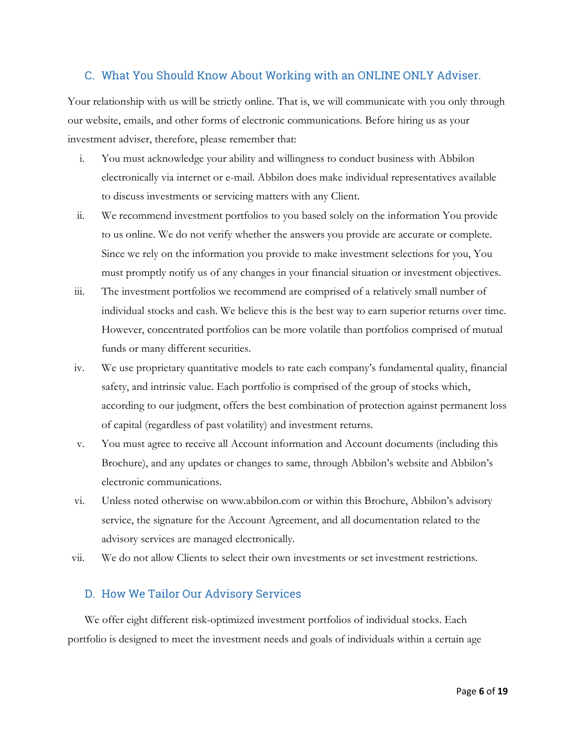#### <span id="page-6-0"></span>C. What You Should Know About Working with an ONLINE ONLY Adviser.

Your relationship with us will be strictly online. That is, we will communicate with you only through our website, emails, and other forms of electronic communications. Before hiring us as your investment adviser, therefore, please remember that:

- i. You must acknowledge your ability and willingness to conduct business with Abbilon electronically via internet or e-mail. Abbilon does make individual representatives available to discuss investments or servicing matters with any Client.
- ii. We recommend investment portfolios to you based solely on the information You provide to us online. We do not verify whether the answers you provide are accurate or complete. Since we rely on the information you provide to make investment selections for you, You must promptly notify us of any changes in your financial situation or investment objectives.
- iii. The investment portfolios we recommend are comprised of a relatively small number of individual stocks and cash. We believe this is the best way to earn superior returns over time. However, concentrated portfolios can be more volatile than portfolios comprised of mutual funds or many different securities.
- iv. We use proprietary quantitative models to rate each company's fundamental quality, financial safety, and intrinsic value. Each portfolio is comprised of the group of stocks which, according to our judgment, offers the best combination of protection against permanent loss of capital (regardless of past volatility) and investment returns.
- v. You must agree to receive all Account information and Account documents (including this Brochure), and any updates or changes to same, through Abbilon's website and Abbilon's electronic communications.
- vi. Unless noted otherwise on www.abbilon.com or within this Brochure, Abbilon's advisory service, the signature for the Account Agreement, and all documentation related to the advisory services are managed electronically.
- vii. We do not allow Clients to select their own investments or set investment restrictions.

#### <span id="page-6-1"></span>D. How We Tailor Our Advisory Services

We offer eight different risk-optimized investment portfolios of individual stocks. Each portfolio is designed to meet the investment needs and goals of individuals within a certain age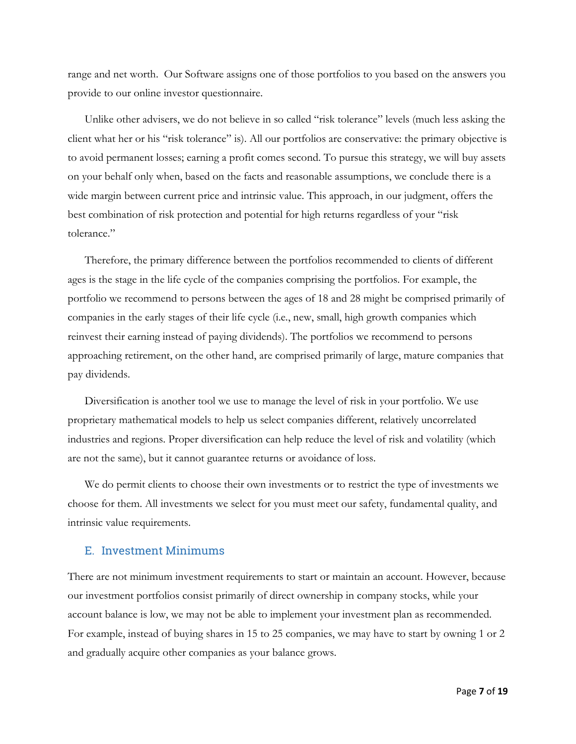range and net worth. Our Software assigns one of those portfolios to you based on the answers you provide to our online investor questionnaire.

Unlike other advisers, we do not believe in so called "risk tolerance" levels (much less asking the client what her or his "risk tolerance" is). All our portfolios are conservative: the primary objective is to avoid permanent losses; earning a profit comes second. To pursue this strategy, we will buy assets on your behalf only when, based on the facts and reasonable assumptions, we conclude there is a wide margin between current price and intrinsic value. This approach, in our judgment, offers the best combination of risk protection and potential for high returns regardless of your "risk tolerance."

Therefore, the primary difference between the portfolios recommended to clients of different ages is the stage in the life cycle of the companies comprising the portfolios. For example, the portfolio we recommend to persons between the ages of 18 and 28 might be comprised primarily of companies in the early stages of their life cycle (i.e., new, small, high growth companies which reinvest their earning instead of paying dividends). The portfolios we recommend to persons approaching retirement, on the other hand, are comprised primarily of large, mature companies that pay dividends.

Diversification is another tool we use to manage the level of risk in your portfolio. We use proprietary mathematical models to help us select companies different, relatively uncorrelated industries and regions. Proper diversification can help reduce the level of risk and volatility (which are not the same), but it cannot guarantee returns or avoidance of loss.

We do permit clients to choose their own investments or to restrict the type of investments we choose for them. All investments we select for you must meet our safety, fundamental quality, and intrinsic value requirements.

#### <span id="page-7-0"></span>E. Investment Minimums

There are not minimum investment requirements to start or maintain an account. However, because our investment portfolios consist primarily of direct ownership in company stocks, while your account balance is low, we may not be able to implement your investment plan as recommended. For example, instead of buying shares in 15 to 25 companies, we may have to start by owning 1 or 2 and gradually acquire other companies as your balance grows.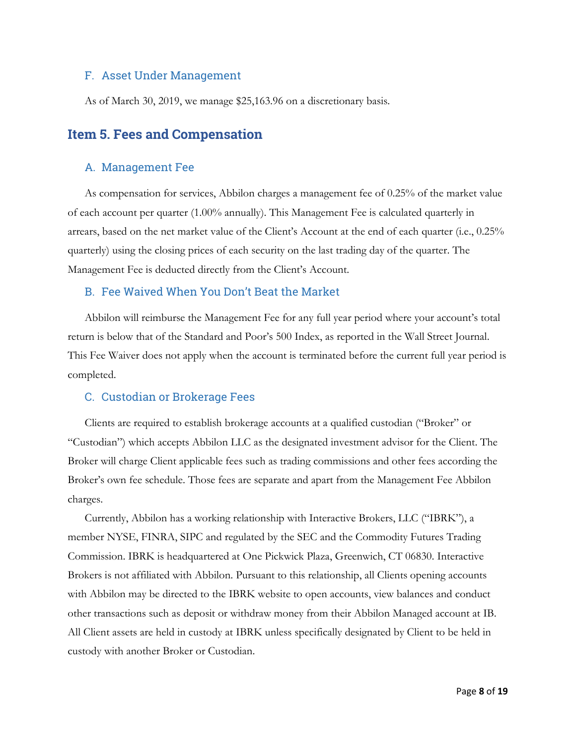#### <span id="page-8-0"></span>F. Asset Under Management

As of March 30, 2019, we manage \$25,163.96 on a discretionary basis.

## <span id="page-8-1"></span>**Item 5. Fees and Compensation**

#### <span id="page-8-2"></span>A. Management Fee

As compensation for services, Abbilon charges a management fee of 0.25% of the market value of each account per quarter (1.00% annually). This Management Fee is calculated quarterly in arrears, based on the net market value of the Client's Account at the end of each quarter (i.e., 0.25% quarterly) using the closing prices of each security on the last trading day of the quarter. The Management Fee is deducted directly from the Client's Account.

#### <span id="page-8-3"></span>B. Fee Waived When You Don't Beat the Market

Abbilon will reimburse the Management Fee for any full year period where your account's total return is below that of the Standard and Poor's 500 Index, as reported in the Wall Street Journal. This Fee Waiver does not apply when the account is terminated before the current full year period is completed.

#### <span id="page-8-4"></span>C. Custodian or Brokerage Fees

Clients are required to establish brokerage accounts at a qualified custodian ("Broker" or "Custodian") which accepts Abbilon LLC as the designated investment advisor for the Client. The Broker will charge Client applicable fees such as trading commissions and other fees according the Broker's own fee schedule. Those fees are separate and apart from the Management Fee Abbilon charges.

Currently, Abbilon has a working relationship with Interactive Brokers, LLC ("IBRK"), a member [NYSE,](http://www.nyse.com/) [FINRA,](http://www.finra.org/) [SIPC](http://www.sipc.org/) and regulated by the SEC and the Commodity Futures Trading Commission. IBRK is headquartered at One Pickwick Plaza, Greenwich, CT 06830. Interactive Brokers is not affiliated with Abbilon. Pursuant to this relationship, all Clients opening accounts with Abbilon may be directed to the IBRK website to open accounts, view balances and conduct other transactions such as deposit or withdraw money from their Abbilon Managed account at IB. All Client assets are held in custody at IBRK unless specifically designated by Client to be held in custody with another Broker or Custodian.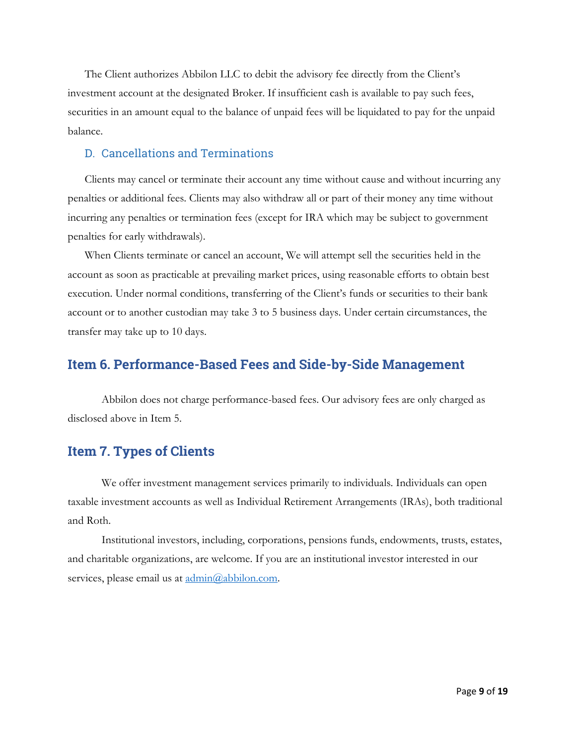The Client authorizes Abbilon LLC to debit the advisory fee directly from the Client's investment account at the designated Broker. If insufficient cash is available to pay such fees, securities in an amount equal to the balance of unpaid fees will be liquidated to pay for the unpaid balance.

### <span id="page-9-0"></span>D. Cancellations and Terminations

Clients may cancel or terminate their account any time without cause and without incurring any penalties or additional fees. Clients may also withdraw all or part of their money any time without incurring any penalties or termination fees (except for IRA which may be subject to government penalties for early withdrawals).

When Clients terminate or cancel an account, We will attempt sell the securities held in the account as soon as practicable at prevailing market prices, using reasonable efforts to obtain best execution. Under normal conditions, transferring of the Client's funds or securities to their bank account or to another custodian may take 3 to 5 business days. Under certain circumstances, the transfer may take up to 10 days.

## <span id="page-9-1"></span>**Item 6. Performance-Based Fees and Side-by-Side Management**

Abbilon does not charge performance-based fees. Our advisory fees are only charged as disclosed above in Item 5.

## <span id="page-9-2"></span>**Item 7. Types of Clients**

We offer investment management services primarily to individuals. Individuals can open taxable investment accounts as well as Individual Retirement Arrangements (IRAs), both traditional and Roth.

Institutional investors, including, corporations, pensions funds, endowments, trusts, estates, and charitable organizations, are welcome. If you are an institutional investor interested in our services, please email us at  $\underline{admin}(\partial_a \text{abbilon.com})$ .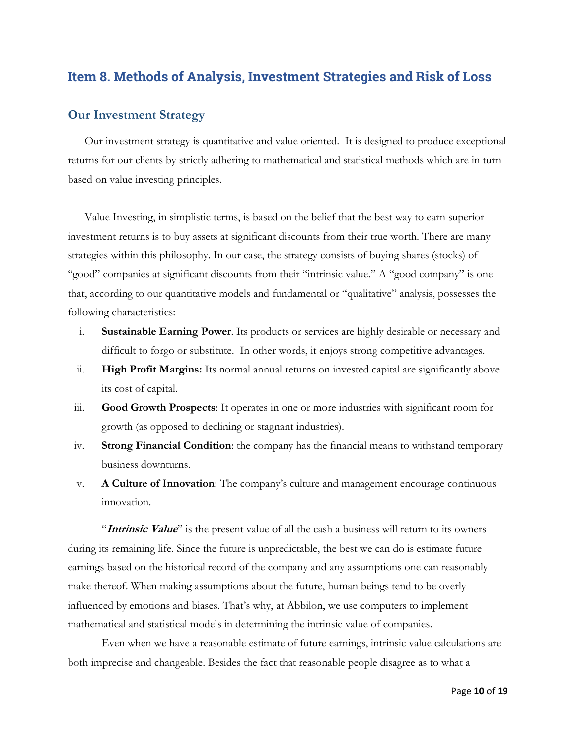## <span id="page-10-0"></span>**Item 8. Methods of Analysis, Investment Strategies and Risk of Loss**

#### <span id="page-10-1"></span>**Our Investment Strategy**

Our investment strategy is quantitative and value oriented. It is designed to produce exceptional returns for our clients by strictly adhering to mathematical and statistical methods which are in turn based on value investing principles.

Value Investing, in simplistic terms, is based on the belief that the best way to earn superior investment returns is to buy assets at significant discounts from their true worth. There are many strategies within this philosophy. In our case, the strategy consists of buying shares (stocks) of "good" companies at significant discounts from their "intrinsic value." A "good company" is one that, according to our quantitative models and fundamental or "qualitative" analysis, possesses the following characteristics:

- i. **Sustainable Earning Power**. Its products or services are highly desirable or necessary and difficult to forgo or substitute. In other words, it enjoys strong competitive advantages.
- ii. **High Profit Margins:** Its normal annual returns on invested capital are significantly above its cost of capital.
- iii. **Good Growth Prospects**: It operates in one or more industries with significant room for growth (as opposed to declining or stagnant industries).
- iv. **Strong Financial Condition**: the company has the financial means to withstand temporary business downturns.
- v. **A Culture of Innovation**: The company's culture and management encourage continuous innovation.

"**Intrinsic Value**" is the present value of all the cash a business will return to its owners during its remaining life. Since the future is unpredictable, the best we can do is estimate future earnings based on the historical record of the company and any assumptions one can reasonably make thereof. When making assumptions about the future, human beings tend to be overly influenced by emotions and biases. That's why, at Abbilon, we use computers to implement mathematical and statistical models in determining the intrinsic value of companies.

Even when we have a reasonable estimate of future earnings, intrinsic value calculations are both imprecise and changeable. Besides the fact that reasonable people disagree as to what a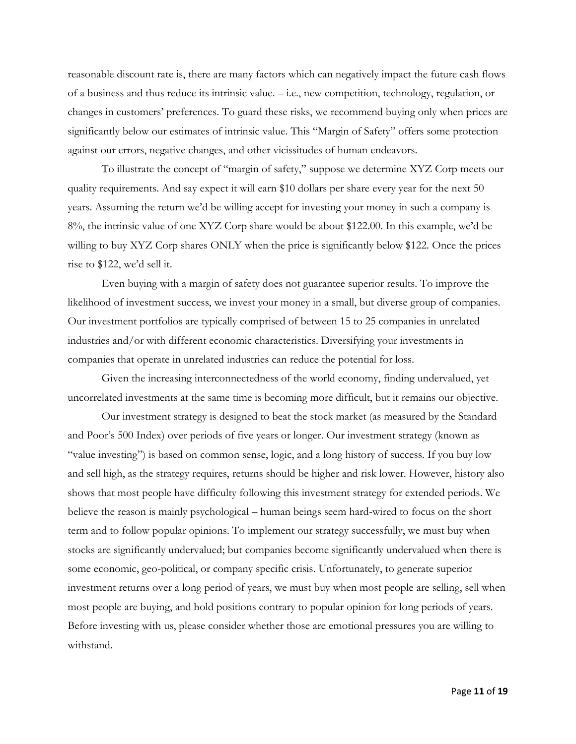reasonable discount rate is, there are many factors which can negatively impact the future cash flows of a business and thus reduce its intrinsic value. – i.e., new competition, technology, regulation, or changes in customers' preferences. To guard these risks, we recommend buying only when prices are significantly below our estimates of intrinsic value. This "Margin of Safety" offers some protection against our errors, negative changes, and other vicissitudes of human endeavors.

To illustrate the concept of "margin of safety," suppose we determine XYZ Corp meets our quality requirements. And say expect it will earn \$10 dollars per share every year for the next 50 years. Assuming the return we'd be willing accept for investing your money in such a company is 8%, the intrinsic value of one XYZ Corp share would be about \$122.00. In this example, we'd be willing to buy XYZ Corp shares ONLY when the price is significantly below \$122. Once the prices rise to \$122, we'd sell it.

Even buying with a margin of safety does not guarantee superior results. To improve the likelihood of investment success, we invest your money in a small, but diverse group of companies. Our investment portfolios are typically comprised of between 15 to 25 companies in unrelated industries and/or with different economic characteristics. Diversifying your investments in companies that operate in unrelated industries can reduce the potential for loss.

Given the increasing interconnectedness of the world economy, finding undervalued, yet uncorrelated investments at the same time is becoming more difficult, but it remains our objective.

Our investment strategy is designed to beat the stock market (as measured by the Standard and Poor's 500 Index) over periods of five years or longer. Our investment strategy (known as "value investing") is based on common sense, logic, and a long history of success. If you buy low and sell high, as the strategy requires, returns should be higher and risk lower. However, history also shows that most people have difficulty following this investment strategy for extended periods. We believe the reason is mainly psychological – human beings seem hard-wired to focus on the short term and to follow popular opinions. To implement our strategy successfully, we must buy when stocks are significantly undervalued; but companies become significantly undervalued when there is some economic, geo-political, or company specific crisis. Unfortunately, to generate superior investment returns over a long period of years, we must buy when most people are selling, sell when most people are buying, and hold positions contrary to popular opinion for long periods of years. Before investing with us, please consider whether those are emotional pressures you are willing to withstand.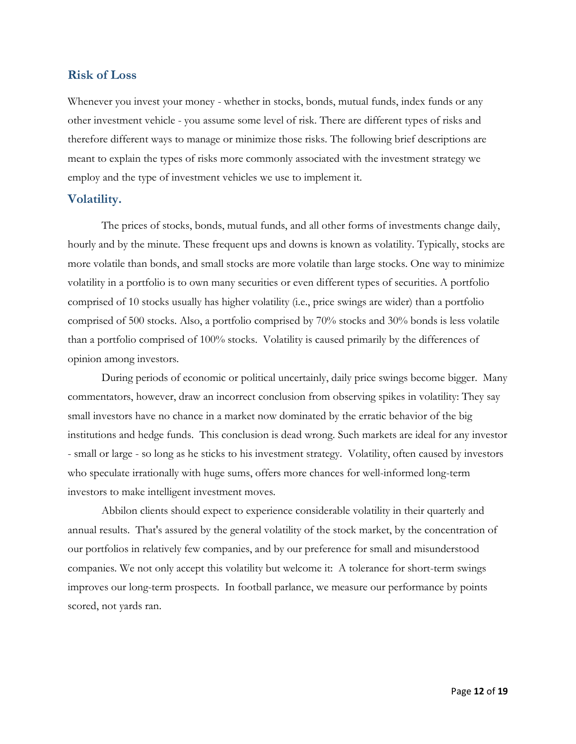#### <span id="page-12-0"></span>**Risk of Loss**

Whenever you invest your money - whether in stocks, bonds, mutual funds, index funds or any other investment vehicle - you assume some level of risk. There are different types of risks and therefore different ways to manage or minimize those risks. The following brief descriptions are meant to explain the types of risks more commonly associated with the investment strategy we employ and the type of investment vehicles we use to implement it.

#### <span id="page-12-1"></span>**Volatility.**

The prices of stocks, bonds, mutual funds, and all other forms of investments change daily, hourly and by the minute. These frequent ups and downs is known as volatility. Typically, stocks are more volatile than bonds, and small stocks are more volatile than large stocks. One way to minimize volatility in a portfolio is to own many securities or even different types of securities. A portfolio comprised of 10 stocks usually has higher volatility (i.e., price swings are wider) than a portfolio comprised of 500 stocks. Also, a portfolio comprised by 70% stocks and 30% bonds is less volatile than a portfolio comprised of 100% stocks. Volatility is caused primarily by the differences of opinion among investors.

During periods of economic or political uncertainly, daily price swings become bigger. Many commentators, however, draw an incorrect conclusion from observing spikes in volatility: They say small investors have no chance in a market now dominated by the erratic behavior of the big institutions and hedge funds. This conclusion is dead wrong. Such markets are ideal for any investor - small or large - so long as he sticks to his investment strategy. Volatility, often caused by investors who speculate irrationally with huge sums, offers more chances for well-informed long-term investors to make intelligent investment moves.

Abbilon clients should expect to experience considerable volatility in their quarterly and annual results. That's assured by the general volatility of the stock market, by the concentration of our portfolios in relatively few companies, and by our preference for small and misunderstood companies. We not only accept this volatility but welcome it: A tolerance for short-term swings improves our long-term prospects. In football parlance, we measure our performance by points scored, not yards ran.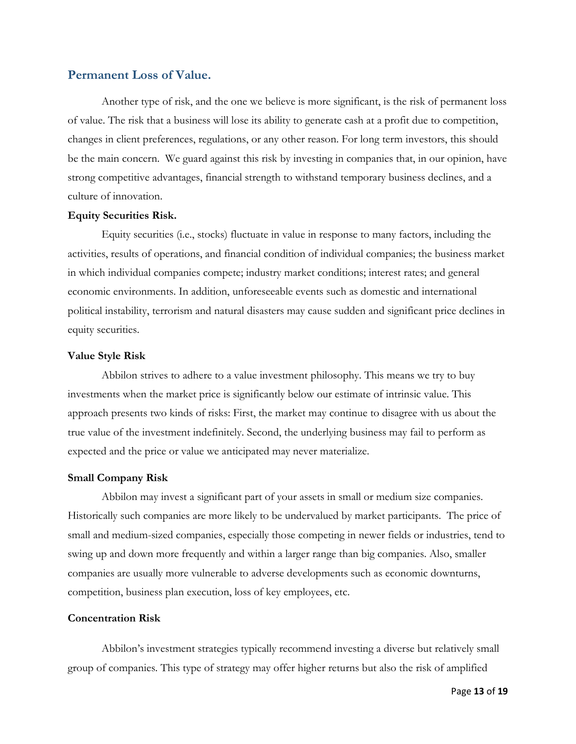#### <span id="page-13-0"></span>**Permanent Loss of Value.**

Another type of risk, and the one we believe is more significant, is the risk of permanent loss of value. The risk that a business will lose its ability to generate cash at a profit due to competition, changes in client preferences, regulations, or any other reason. For long term investors, this should be the main concern. We guard against this risk by investing in companies that, in our opinion, have strong competitive advantages, financial strength to withstand temporary business declines, and a culture of innovation.

#### **Equity Securities Risk.**

Equity securities (i.e., stocks) fluctuate in value in response to many factors, including the activities, results of operations, and financial condition of individual companies; the business market in which individual companies compete; industry market conditions; interest rates; and general economic environments. In addition, unforeseeable events such as domestic and international political instability, terrorism and natural disasters may cause sudden and significant price declines in equity securities.

#### **Value Style Risk**

Abbilon strives to adhere to a value investment philosophy. This means we try to buy investments when the market price is significantly below our estimate of intrinsic value. This approach presents two kinds of risks: First, the market may continue to disagree with us about the true value of the investment indefinitely. Second, the underlying business may fail to perform as expected and the price or value we anticipated may never materialize.

#### **Small Company Risk**

Abbilon may invest a significant part of your assets in small or medium size companies. Historically such companies are more likely to be undervalued by market participants. The price of small and medium-sized companies, especially those competing in newer fields or industries, tend to swing up and down more frequently and within a larger range than big companies. Also, smaller companies are usually more vulnerable to adverse developments such as economic downturns, competition, business plan execution, loss of key employees, etc.

#### **Concentration Risk**

Abbilon's investment strategies typically recommend investing a diverse but relatively small group of companies. This type of strategy may offer higher returns but also the risk of amplified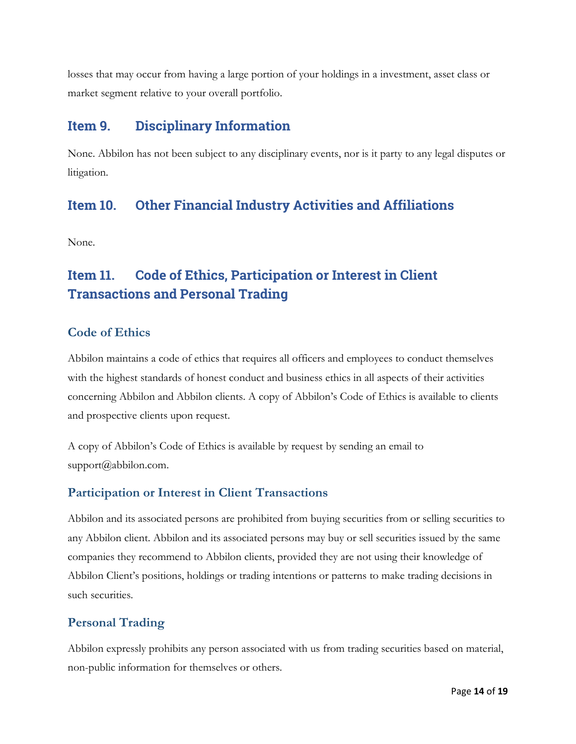losses that may occur from having a large portion of your holdings in a investment, asset class or market segment relative to your overall portfolio.

# <span id="page-14-0"></span>**Item 9. Disciplinary Information**

None. Abbilon has not been subject to any disciplinary events, nor is it party to any legal disputes or litigation.

# <span id="page-14-1"></span>**Item 10. Other Financial Industry Activities and Affiliations**

None.

# <span id="page-14-2"></span>**Item 11. Code of Ethics, Participation or Interest in Client Transactions and Personal Trading**

## <span id="page-14-3"></span>**Code of Ethics**

Abbilon maintains a code of ethics that requires all officers and employees to conduct themselves with the highest standards of honest conduct and business ethics in all aspects of their activities concerning Abbilon and Abbilon clients. A copy of Abbilon's Code of Ethics is available to clients and prospective clients upon request.

A copy of Abbilon's Code of Ethics is available by request by sending an email to [support@abbilon.com.](mailto:support@abbilon.com)

## <span id="page-14-4"></span>**Participation or Interest in Client Transactions**

Abbilon and its associated persons are prohibited from buying securities from or selling securities to any Abbilon client. Abbilon and its associated persons may buy or sell securities issued by the same companies they recommend to Abbilon clients, provided they are not using their knowledge of Abbilon Client's positions, holdings or trading intentions or patterns to make trading decisions in such securities.

## <span id="page-14-5"></span>**Personal Trading**

Abbilon expressly prohibits any person associated with us from trading securities based on material, non-public information for themselves or others.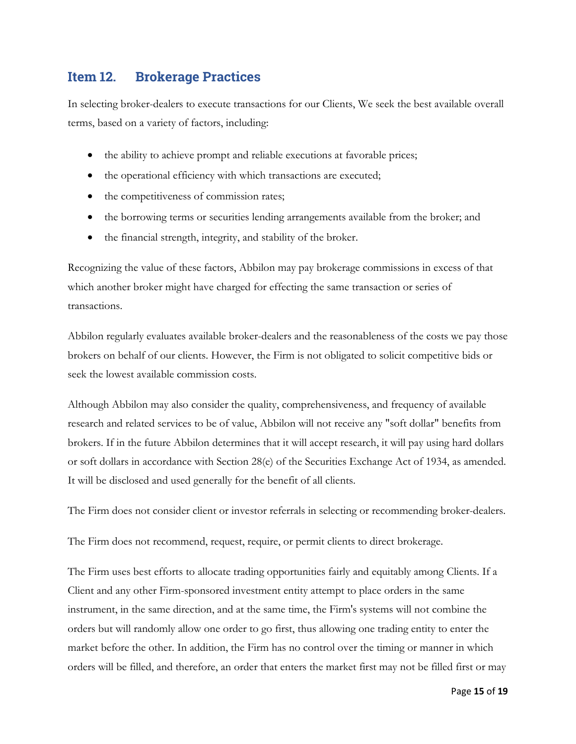## <span id="page-15-0"></span>**Item 12. Brokerage Practices**

In selecting broker-dealers to execute transactions for our Clients, We seek the best available overall terms, based on a variety of factors, including:

- the ability to achieve prompt and reliable executions at favorable prices;
- the operational efficiency with which transactions are executed;
- the competitiveness of commission rates;
- the borrowing terms or securities lending arrangements available from the broker; and
- the financial strength, integrity, and stability of the broker.

Recognizing the value of these factors, Abbilon may pay brokerage commissions in excess of that which another broker might have charged for effecting the same transaction or series of transactions.

Abbilon regularly evaluates available broker-dealers and the reasonableness of the costs we pay those brokers on behalf of our clients. However, the Firm is not obligated to solicit competitive bids or seek the lowest available commission costs.

Although Abbilon may also consider the quality, comprehensiveness, and frequency of available research and related services to be of value, Abbilon will not receive any "soft dollar" benefits from brokers. If in the future Abbilon determines that it will accept research, it will pay using hard dollars or soft dollars in accordance with Section 28(e) of the Securities Exchange Act of 1934, as amended. It will be disclosed and used generally for the benefit of all clients.

The Firm does not consider client or investor referrals in selecting or recommending broker-dealers.

The Firm does not recommend, request, require, or permit clients to direct brokerage.

The Firm uses best efforts to allocate trading opportunities fairly and equitably among Clients. If a Client and any other Firm-sponsored investment entity attempt to place orders in the same instrument, in the same direction, and at the same time, the Firm's systems will not combine the orders but will randomly allow one order to go first, thus allowing one trading entity to enter the market before the other. In addition, the Firm has no control over the timing or manner in which orders will be filled, and therefore, an order that enters the market first may not be filled first or may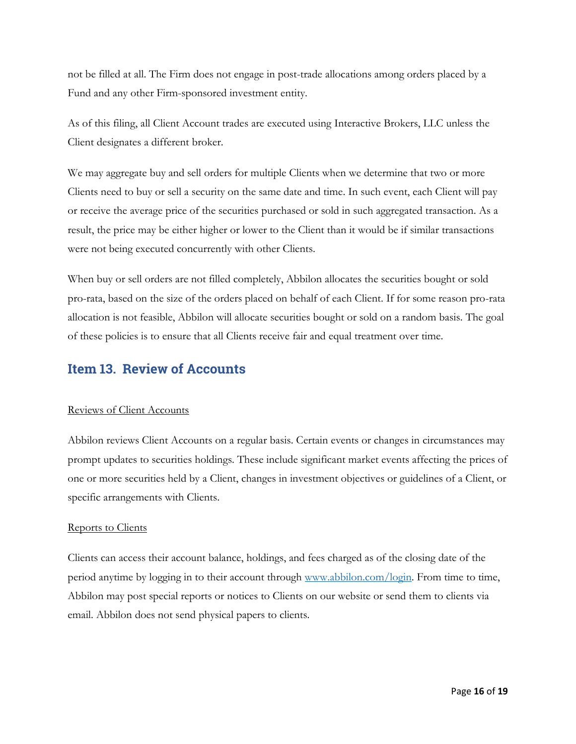not be filled at all. The Firm does not engage in post-trade allocations among orders placed by a Fund and any other Firm-sponsored investment entity.

As of this filing, all Client Account trades are executed using Interactive Brokers, LLC unless the Client designates a different broker.

We may aggregate buy and sell orders for multiple Clients when we determine that two or more Clients need to buy or sell a security on the same date and time. In such event, each Client will pay or receive the average price of the securities purchased or sold in such aggregated transaction. As a result, the price may be either higher or lower to the Client than it would be if similar transactions were not being executed concurrently with other Clients.

When buy or sell orders are not filled completely, Abbilon allocates the securities bought or sold pro-rata, based on the size of the orders placed on behalf of each Client. If for some reason pro-rata allocation is not feasible, Abbilon will allocate securities bought or sold on a random basis. The goal of these policies is to ensure that all Clients receive fair and equal treatment over time.

## <span id="page-16-0"></span>**Item 13. Review of Accounts**

#### Reviews of Client Accounts

Abbilon reviews Client Accounts on a regular basis. Certain events or changes in circumstances may prompt updates to securities holdings. These include significant market events affecting the prices of one or more securities held by a Client, changes in investment objectives or guidelines of a Client, or specific arrangements with Clients.

#### Reports to Clients

Clients can access their account balance, holdings, and fees charged as of the closing date of the period anytime by logging in to their account through [www.abbilon.com/login.](http://www.abbilon.com/login) From time to time, Abbilon may post special reports or notices to Clients on our website or send them to clients via email. Abbilon does not send physical papers to clients.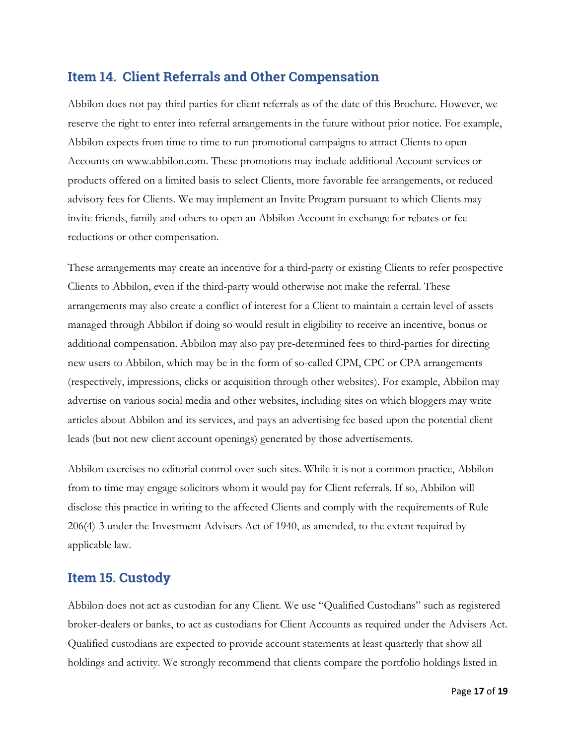## <span id="page-17-0"></span>**Item 14. Client Referrals and Other Compensation**

Abbilon does not pay third parties for client referrals as of the date of this Brochure. However, we reserve the right to enter into referral arrangements in the future without prior notice. For example, Abbilon expects from time to time to run promotional campaigns to attract Clients to open Accounts on www.abbilon.com. These promotions may include additional Account services or products offered on a limited basis to select Clients, more favorable fee arrangements, or reduced advisory fees for Clients. We may implement an Invite Program pursuant to which Clients may invite friends, family and others to open an Abbilon Account in exchange for rebates or fee reductions or other compensation.

These arrangements may create an incentive for a third-party or existing Clients to refer prospective Clients to Abbilon, even if the third-party would otherwise not make the referral. These arrangements may also create a conflict of interest for a Client to maintain a certain level of assets managed through Abbilon if doing so would result in eligibility to receive an incentive, bonus or additional compensation. Abbilon may also pay pre-determined fees to third-parties for directing new users to Abbilon, which may be in the form of so-called CPM, CPC or CPA arrangements (respectively, impressions, clicks or acquisition through other websites). For example, Abbilon may advertise on various social media and other websites, including sites on which bloggers may write articles about Abbilon and its services, and pays an advertising fee based upon the potential client leads (but not new client account openings) generated by those advertisements.

Abbilon exercises no editorial control over such sites. While it is not a common practice, Abbilon from to time may engage solicitors whom it would pay for Client referrals. If so, Abbilon will disclose this practice in writing to the affected Clients and comply with the requirements of Rule 206(4)-3 under the Investment Advisers Act of 1940, as amended, to the extent required by applicable law.

## <span id="page-17-1"></span>**Item 15. Custody**

Abbilon does not act as custodian for any Client. We use "Qualified Custodians" such as registered broker-dealers or banks, to act as custodians for Client Accounts as required under the Advisers Act. Qualified custodians are expected to provide account statements at least quarterly that show all holdings and activity. We strongly recommend that clients compare the portfolio holdings listed in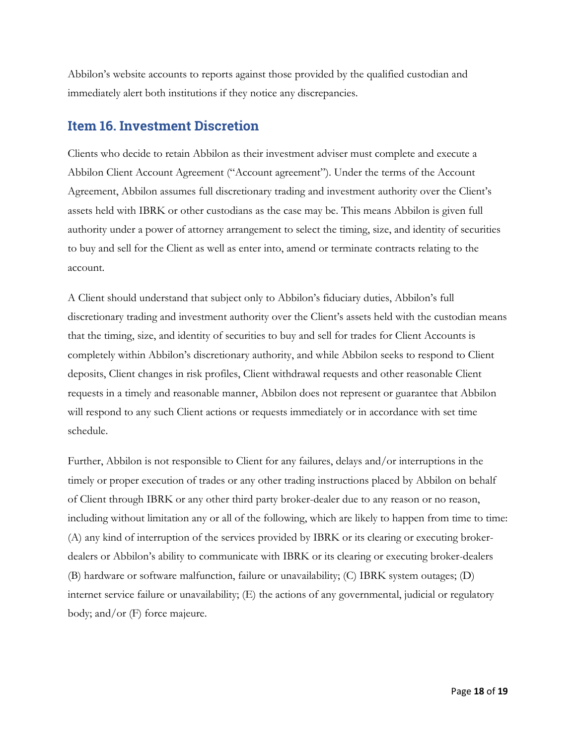Abbilon's website accounts to reports against those provided by the qualified custodian and immediately alert both institutions if they notice any discrepancies.

## <span id="page-18-0"></span>**Item 16. Investment Discretion**

Clients who decide to retain Abbilon as their investment adviser must complete and execute a Abbilon Client Account Agreement ("Account agreement"). Under the terms of the Account Agreement, Abbilon assumes full discretionary trading and investment authority over the Client's assets held with IBRK or other custodians as the case may be. This means Abbilon is given full authority under a power of attorney arrangement to select the timing, size, and identity of securities to buy and sell for the Client as well as enter into, amend or terminate contracts relating to the account.

A Client should understand that subject only to Abbilon's fiduciary duties, Abbilon's full discretionary trading and investment authority over the Client's assets held with the custodian means that the timing, size, and identity of securities to buy and sell for trades for Client Accounts is completely within Abbilon's discretionary authority, and while Abbilon seeks to respond to Client deposits, Client changes in risk profiles, Client withdrawal requests and other reasonable Client requests in a timely and reasonable manner, Abbilon does not represent or guarantee that Abbilon will respond to any such Client actions or requests immediately or in accordance with set time schedule.

Further, Abbilon is not responsible to Client for any failures, delays and/or interruptions in the timely or proper execution of trades or any other trading instructions placed by Abbilon on behalf of Client through IBRK or any other third party broker-dealer due to any reason or no reason, including without limitation any or all of the following, which are likely to happen from time to time: (A) any kind of interruption of the services provided by IBRK or its clearing or executing brokerdealers or Abbilon's ability to communicate with IBRK or its clearing or executing broker-dealers (B) hardware or software malfunction, failure or unavailability; (C) IBRK system outages; (D) internet service failure or unavailability; (E) the actions of any governmental, judicial or regulatory body; and/or (F) force majeure.